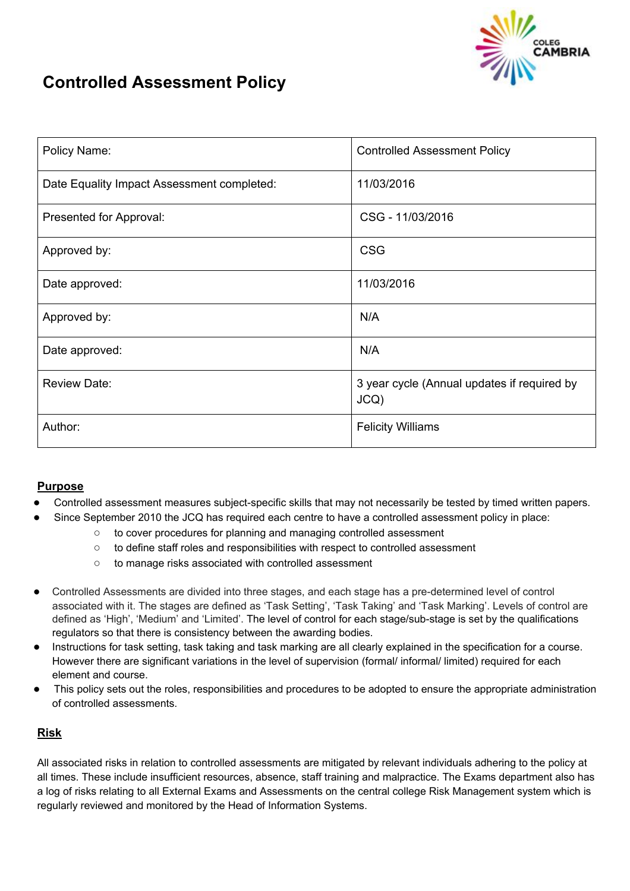

# **Controlled Assessment Policy**

| Policy Name:                               | <b>Controlled Assessment Policy</b>                |
|--------------------------------------------|----------------------------------------------------|
| Date Equality Impact Assessment completed: | 11/03/2016                                         |
| Presented for Approval:                    | CSG - 11/03/2016                                   |
| Approved by:                               | <b>CSG</b>                                         |
| Date approved:                             | 11/03/2016                                         |
| Approved by:                               | N/A                                                |
| Date approved:                             | N/A                                                |
| <b>Review Date:</b>                        | 3 year cycle (Annual updates if required by<br>JCQ |
| Author:                                    | <b>Felicity Williams</b>                           |

# **Purpose**

- Controlled assessment measures subject-specific skills that may not necessarily be tested by timed written papers.
	- Since September 2010 the JCQ has required each centre to have a controlled assessment policy in place:
		- to cover procedures for planning and managing controlled assessment
		- to define staff roles and responsibilities with respect to controlled assessment
		- to manage risks associated with controlled assessment
- Controlled Assessments are divided into three stages, and each stage has a pre-determined level of control associated with it. The stages are defined as 'Task Setting', 'Task Taking' and 'Task Marking'. Levels of control are defined as 'High', 'Medium' and 'Limited'. The level of control for each stage/sub-stage is set by the qualifications regulators so that there is consistency between the awarding bodies.
- Instructions for task setting, task taking and task marking are all clearly explained in the specification for a course. However there are significant variations in the level of supervision (formal/ informal/ limited) required for each element and course.
- This policy sets out the roles, responsibilities and procedures to be adopted to ensure the appropriate administration of controlled assessments.

# **Risk**

All associated risks in relation to controlled assessments are mitigated by relevant individuals adhering to the policy at all times. These include insufficient resources, absence, staff training and malpractice. The Exams department also has a log of risks relating to all External Exams and Assessments on the central college Risk Management system which is regularly reviewed and monitored by the Head of Information Systems.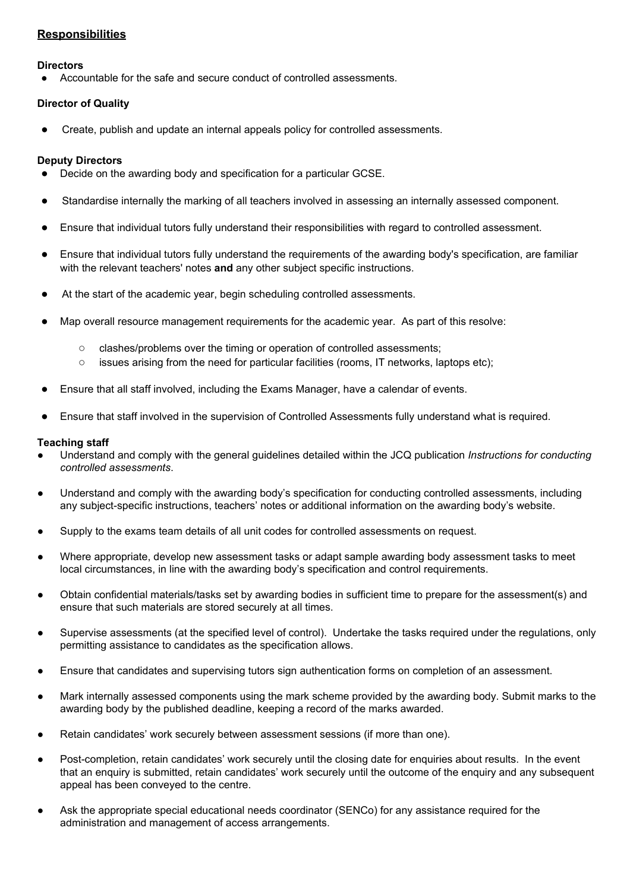# **Responsibilities**

### **Directors**

Accountable for the safe and secure conduct of controlled assessments.

# **Director of Quality**

Create, publish and update an internal appeals policy for controlled assessments.

### **Deputy Directors**

- Decide on the awarding body and specification for a particular GCSE.
- Standardise internally the marking of all teachers involved in assessing an internally assessed component.
- Ensure that individual tutors fully understand their responsibilities with regard to controlled assessment.
- Ensure that individual tutors fully understand the requirements of the awarding body's specification, are familiar with the relevant teachers' notes **and** any other subject specific instructions.
- At the start of the academic year, begin scheduling controlled assessments.
- Map overall resource management requirements for the academic year. As part of this resolve:
	- clashes/problems over the timing or operation of controlled assessments;
	- issues arising from the need for particular facilities (rooms, IT networks, laptops etc);
- Ensure that all staff involved, including the Exams Manager, have a calendar of events.
- Ensure that staff involved in the supervision of Controlled Assessments fully understand what is required.

### **Teaching staff**

- Understand and comply with the general guidelines detailed within the JCQ publication *Instructions for conducting controlled assessments*.
- Understand and comply with the awarding body's specification for conducting controlled assessments, including any subject-specific instructions, teachers' notes or additional information on the awarding body's website.
- Supply to the exams team details of all unit codes for controlled assessments on request.
- Where appropriate, develop new assessment tasks or adapt sample awarding body assessment tasks to meet local circumstances, in line with the awarding body's specification and control requirements.
- Obtain confidential materials/tasks set by awarding bodies in sufficient time to prepare for the assessment(s) and ensure that such materials are stored securely at all times.
- Supervise assessments (at the specified level of control). Undertake the tasks required under the regulations, only permitting assistance to candidates as the specification allows.
- Ensure that candidates and supervising tutors sign authentication forms on completion of an assessment.
- Mark internally assessed components using the mark scheme provided by the awarding body. Submit marks to the awarding body by the published deadline, keeping a record of the marks awarded.
- Retain candidates' work securely between assessment sessions (if more than one).
- Post-completion, retain candidates' work securely until the closing date for enquiries about results. In the event that an enquiry is submitted, retain candidates' work securely until the outcome of the enquiry and any subsequent appeal has been conveyed to the centre.
- Ask the appropriate special educational needs coordinator (SENCo) for any assistance required for the administration and management of access arrangements.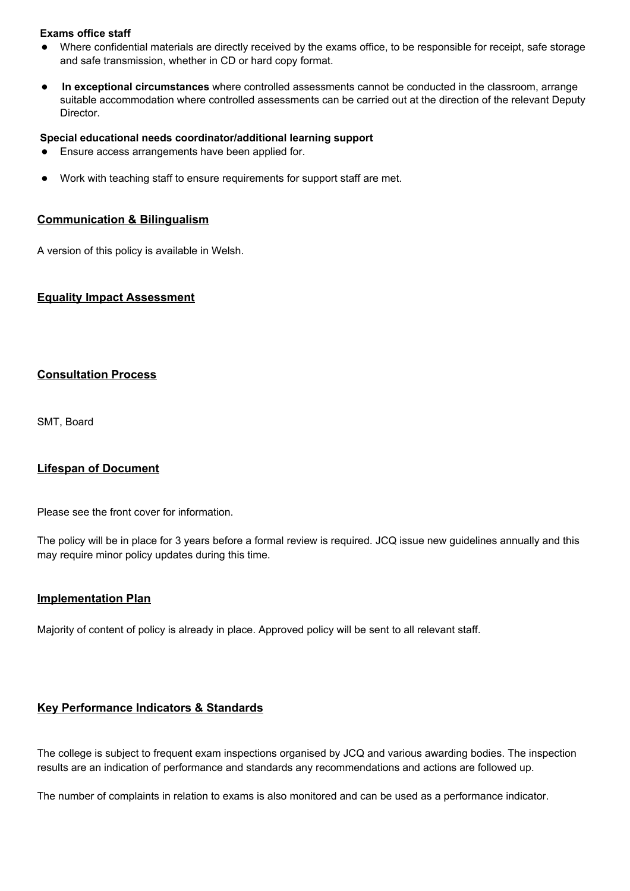### **Exams office staff**

- Where confidential materials are directly received by the exams office, to be responsible for receipt, safe storage and safe transmission, whether in CD or hard copy format.
- **In exceptional circumstances** where controlled assessments cannot be conducted in the classroom, arrange suitable accommodation where controlled assessments can be carried out at the direction of the relevant Deputy Director.

#### **Special educational needs coordinator/additional learning support**

- Ensure access arrangements have been applied for.
- Work with teaching staff to ensure requirements for support staff are met.

#### **Communication & Bilingualism**

A version of this policy is available in Welsh.

### **Equality Impact Assessment**

### **Consultation Process**

SMT, Board

### **Lifespan of Document**

Please see the front cover for information.

The policy will be in place for 3 years before a formal review is required. JCQ issue new guidelines annually and this may require minor policy updates during this time.

### **Implementation Plan**

Majority of content of policy is already in place. Approved policy will be sent to all relevant staff.

### **Key Performance Indicators & Standards**

The college is subject to frequent exam inspections organised by JCQ and various awarding bodies. The inspection results are an indication of performance and standards any recommendations and actions are followed up.

The number of complaints in relation to exams is also monitored and can be used as a performance indicator.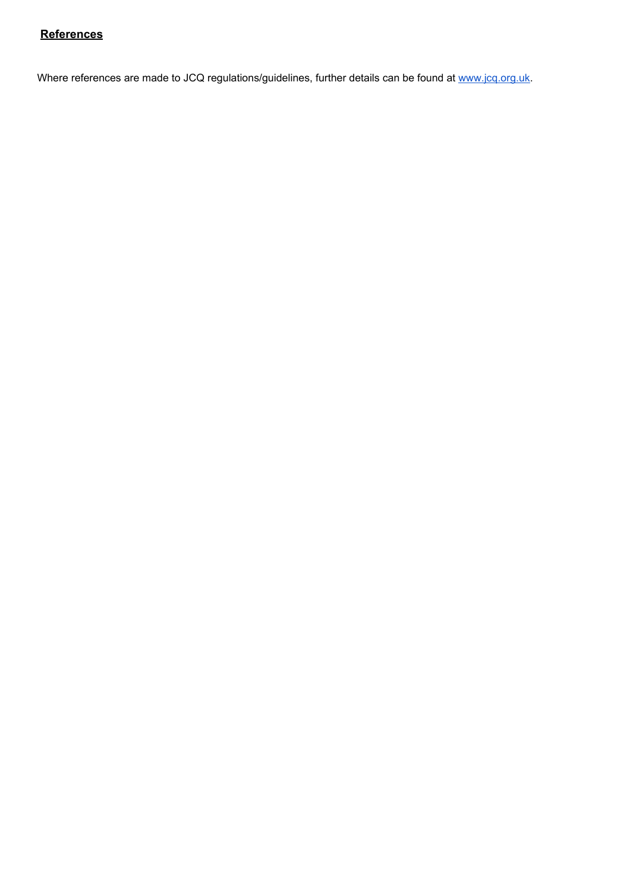# **References**

Where references are made [t](http://www.jcq.org.uk/)o JCQ regulations/guidelines, further details can be found at [www.jcq.org.uk](http://www.jcq.org.uk/).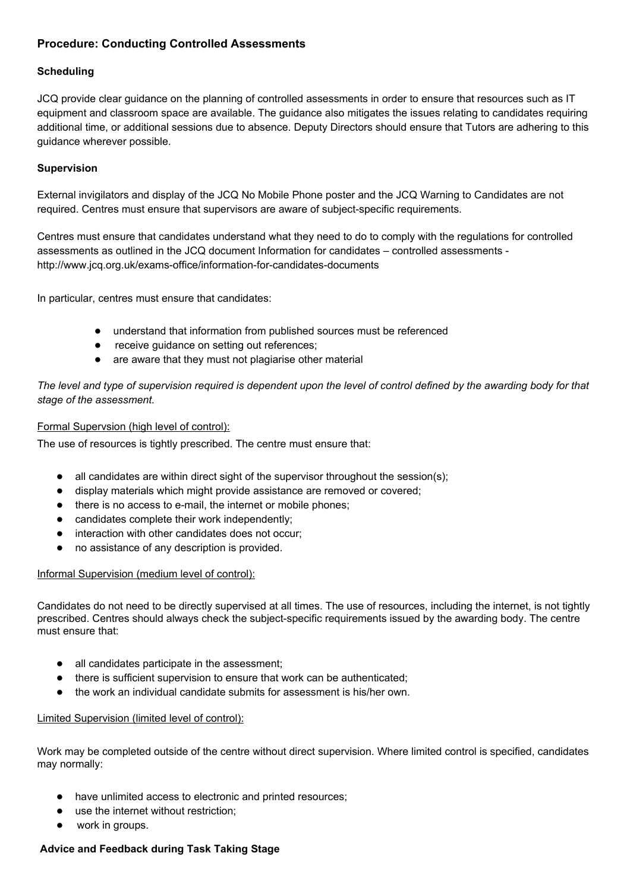# **Procedure: Conducting Controlled Assessments**

### **Scheduling**

JCQ provide clear guidance on the planning of controlled assessments in order to ensure that resources such as IT equipment and classroom space are available. The guidance also mitigates the issues relating to candidates requiring additional time, or additional sessions due to absence. Deputy Directors should ensure that Tutors are adhering to this guidance wherever possible.

### **Supervision**

External invigilators and display of the JCQ No Mobile Phone poster and the JCQ Warning to Candidates are not required. Centres must ensure that supervisors are aware of subject-specific requirements.

Centres must ensure that candidates understand what they need to do to comply with the regulations for controlled assessments as outlined in the JCQ document Information for candidates – controlled assessments http://www.jcq.org.uk/exams-office/information-for-candidates-documents

In particular, centres must ensure that candidates:

- understand that information from published sources must be referenced
- receive guidance on setting out references;
- are aware that they must not plagiarise other material

The level and type of supervision required is dependent upon the level of control defined by the awarding body for that *stage of the assessment.*

### Formal Supervsion (high level of control):

The use of resources is tightly prescribed. The centre must ensure that:

- $\bullet$  all candidates are within direct sight of the supervisor throughout the session(s);
- display materials which might provide assistance are removed or covered;
- there is no access to e-mail, the internet or mobile phones;
- candidates complete their work independently;
- interaction with other candidates does not occur;
- no assistance of any description is provided.

#### Informal Supervision (medium level of control):

Candidates do not need to be directly supervised at all times. The use of resources, including the internet, is not tightly prescribed. Centres should always check the subject-specific requirements issued by the awarding body. The centre must ensure that:

- all candidates participate in the assessment;
- there is sufficient supervision to ensure that work can be authenticated;
- the work an individual candidate submits for assessment is his/her own.

#### Limited Supervision (limited level of control):

Work may be completed outside of the centre without direct supervision. Where limited control is specified, candidates may normally:

- have unlimited access to electronic and printed resources;
- use the internet without restriction;
- work in groups.

### **Advice and Feedback during Task Taking Stage**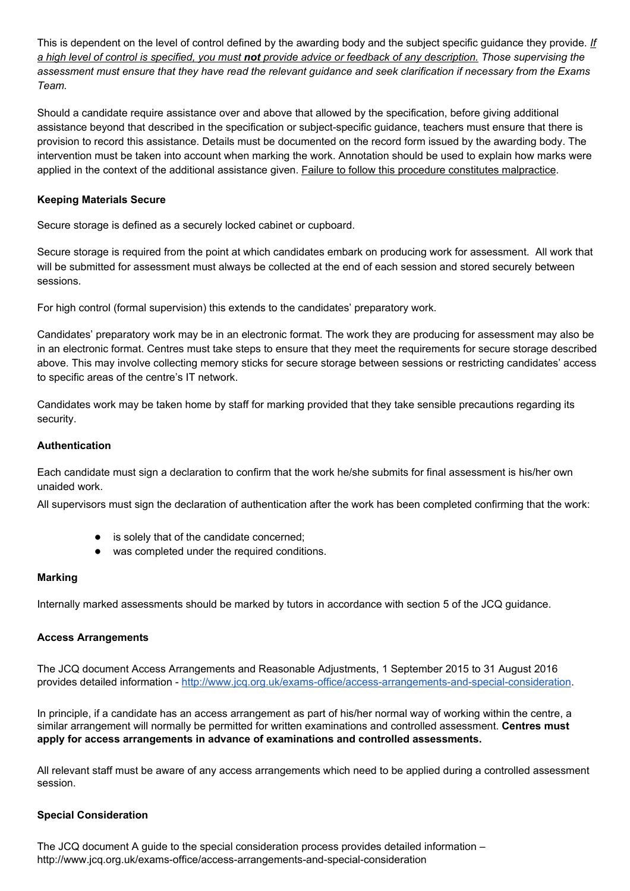This is dependent on the level of control defined by the awarding body and the subject specific guidance they provide. *If* a high level of control is specified, you must not provide advice or feedback of any description. Those supervising the assessment must ensure that they have read the relevant guidance and seek clarification if necessary from the Exams *Team.*

Should a candidate require assistance over and above that allowed by the specification, before giving additional assistance beyond that described in the specification or subject-specific guidance, teachers must ensure that there is provision to record this assistance. Details must be documented on the record form issued by the awarding body. The intervention must be taken into account when marking the work. Annotation should be used to explain how marks were applied in the context of the additional assistance given. Failure to follow this procedure constitutes malpractice.

### **Keeping Materials Secure**

Secure storage is defined as a securely locked cabinet or cupboard.

Secure storage is required from the point at which candidates embark on producing work for assessment. All work that will be submitted for assessment must always be collected at the end of each session and stored securely between sessions.

For high control (formal supervision) this extends to the candidates' preparatory work.

Candidates' preparatory work may be in an electronic format. The work they are producing for assessment may also be in an electronic format. Centres must take steps to ensure that they meet the requirements for secure storage described above. This may involve collecting memory sticks for secure storage between sessions or restricting candidates' access to specific areas of the centre's IT network.

Candidates work may be taken home by staff for marking provided that they take sensible precautions regarding its security.

### **Authentication**

Each candidate must sign a declaration to confirm that the work he/she submits for final assessment is his/her own unaided work.

All supervisors must sign the declaration of authentication after the work has been completed confirming that the work:

- is solely that of the candidate concerned;
- was completed under the required conditions.

### **Marking**

Internally marked assessments should be marked by tutors in accordance with section 5 of the JCQ guidance.

### **Access Arrangements**

The JCQ document Access Arrangements and Reasonable Adjustments, 1 September 2015 to 31 August 2016 provides detailed information [-](http://www.jcq.org.uk/exams-office/access-arrangements-and-special-consideration) [http://www.jcq.org.uk/exams-office/access-arrangements-and-special-consideration.](http://www.jcq.org.uk/exams-office/access-arrangements-and-special-consideration)

In principle, if a candidate has an access arrangement as part of his/her normal way of working within the centre, a similar arrangement will normally be permitted for written examinations and controlled assessment. **Centres must apply for access arrangements in advance of examinations and controlled assessments.**

All relevant staff must be aware of any access arrangements which need to be applied during a controlled assessment session.

# **Special Consideration**

The JCQ document A guide to the special consideration process provides detailed information – http://www.jcq.org.uk/exams-office/access-arrangements-and-special-consideration